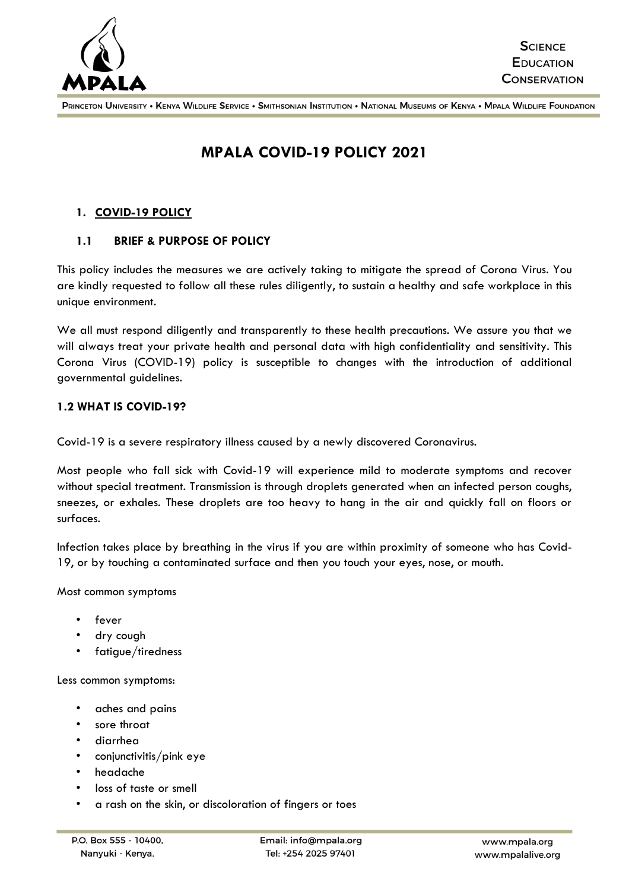

# **MPALA COVID-19 POLICY 2021**

# **1. COVID-19 POLICY**

#### **1.1 BRIEF & PURPOSE OF POLICY**

This policy includes the measures we are actively taking to mitigate the spread of Corona Virus. You are kindly requested to follow all these rules diligently, to sustain a healthy and safe workplace in this unique environment.

We all must respond diligently and transparently to these health precautions. We assure you that we will always treat your private health and personal data with high confidentiality and sensitivity. This Corona Virus (COVID-19) policy is susceptible to changes with the introduction of additional governmental guidelines.

#### **1.2 WHAT IS COVID-19?**

Covid-19 is a severe respiratory illness caused by a newly discovered Coronavirus.

Most people who fall sick with Covid-19 will experience mild to moderate symptoms and recover without special treatment. Transmission is through droplets generated when an infected person coughs, sneezes, or exhales. These droplets are too heavy to hang in the air and quickly fall on floors or surfaces.

Infection takes place by breathing in the virus if you are within proximity of someone who has Covid-19, or by touching a contaminated surface and then you touch your eyes, nose, or mouth.

Most common symptoms

- fever
- dry cough
- fatigue/tiredness

Less common symptoms:

- aches and pains
- sore throat
- diarrhea
- conjunctivitis/pink eye
- headache
- loss of taste or smell
- a rash on the skin, or discoloration of fingers or toes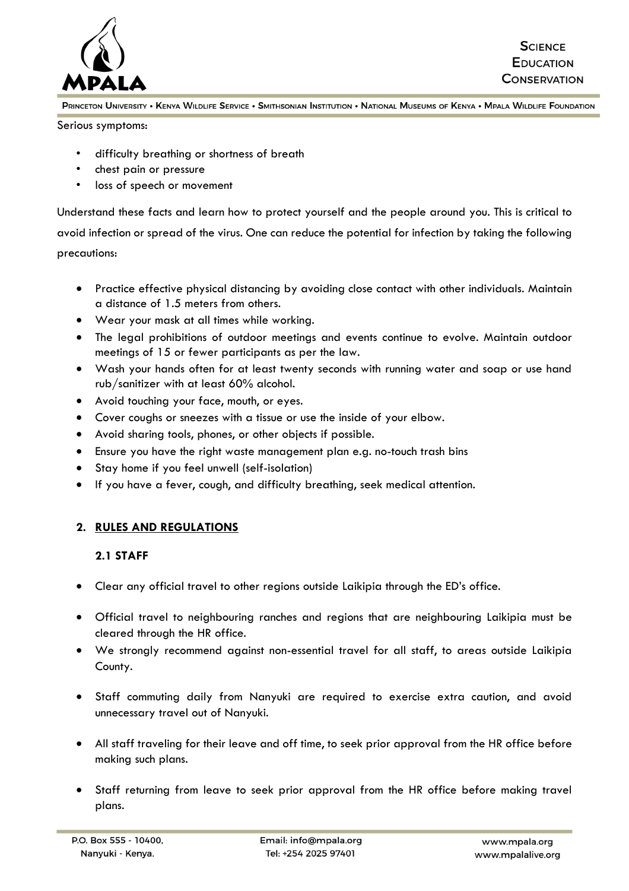

Serious symptoms:

- difficulty breathing or shortness of breath
- chest pain or pressure
- loss of speech or movement

Understand these facts and learn how to protect yourself and the people around you. This is critical to avoid infection or spread of the virus. One can reduce the potential for infection by taking the following precautions:

- Practice effective physical distancing by avoiding close contact with other individuals. Maintain a distance of 1.5 meters from others.
- Wear your mask at all times while working.
- The legal prohibitions of outdoor meetings and events continue to evolve. Maintain outdoor meetings of 15 or fewer participants as per the law.
- Wash your hands often for at least twenty seconds with running water and soap or use hand rub/sanitizer with at least 60% alcohol.
- Avoid touching your face, mouth, or eyes.
- Cover coughs or sneezes with a tissue or use the inside of your elbow.
- Avoid sharing tools, phones, or other objects if possible.
- Ensure you have the right waste management plan e.g. no-touch trash bins
- Stay home if you feel unwell (self-isolation)
- If you have a fever, cough, and difficulty breathing, seek medical attention.

## **2. RULES AND REGULATIONS**

#### **2.1 STAFF**

- Clear any official travel to other regions outside Laikipia through the ED's office.
- Official travel to neighbouring ranches and regions that are neighbouring Laikipia must be cleared through the HR office.
- We strongly recommend against non-essential travel for all staff, to areas outside Laikipia County.
- Staff commuting daily from Nanyuki are required to exercise extra caution, and avoid unnecessary travel out of Nanyuki.
- All staff traveling for their leave and off time, to seek prior approval from the HR office before making such plans.
- Staff returning from leave to seek prior approval from the HR office before making travel plans.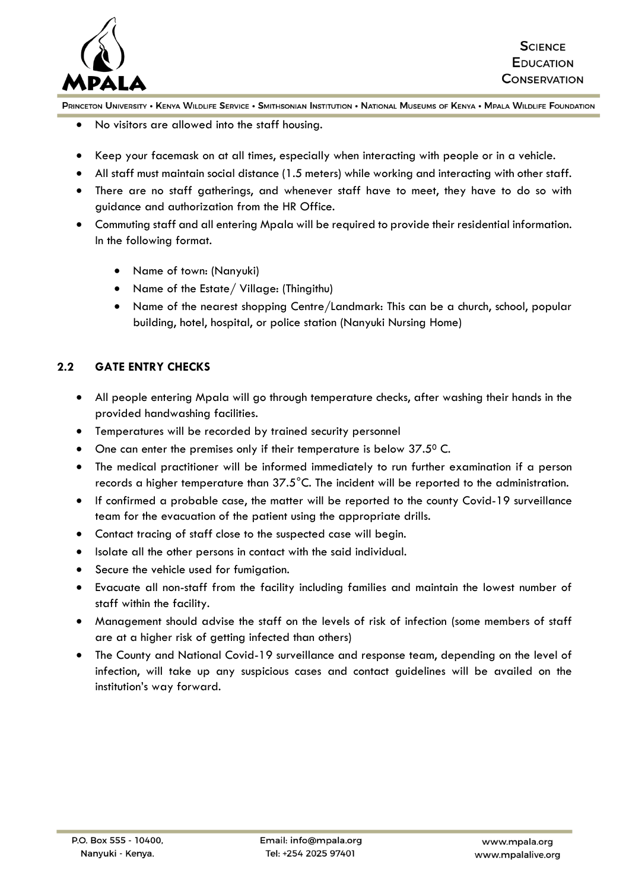

- No visitors are allowed into the staff housing.
- Keep your facemask on at all times, especially when interacting with people or in a vehicle.
- All staff must maintain social distance (1.5 meters) while working and interacting with other staff.
- There are no staff gatherings, and whenever staff have to meet, they have to do so with guidance and authorization from the HR Office.
- Commuting staff and all entering Mpala will be required to provide their residential information. In the following format.
	- Name of town: (Nanyuki)
	- Name of the Estate/ Village: (Thingithu)
	- Name of the nearest shopping Centre/Landmark: This can be a church, school, popular building, hotel, hospital, or police station (Nanyuki Nursing Home)

## **2.2 GATE ENTRY CHECKS**

- All people entering Mpala will go through temperature checks, after washing their hands in the provided handwashing facilities.
- Temperatures will be recorded by trained security personnel
- One can enter the premises only if their temperature is below 37.50 C.
- The medical practitioner will be informed immediately to run further examination if a person records a higher temperature than  $37.5^{\circ}$ C. The incident will be reported to the administration.
- If confirmed a probable case, the matter will be reported to the county Covid-19 surveillance team for the evacuation of the patient using the appropriate drills.
- Contact tracing of staff close to the suspected case will begin.
- Isolate all the other persons in contact with the said individual.
- Secure the vehicle used for fumigation.
- Evacuate all non-staff from the facility including families and maintain the lowest number of staff within the facility.
- Management should advise the staff on the levels of risk of infection (some members of staff are at a higher risk of getting infected than others)
- The County and National Covid-19 surveillance and response team, depending on the level of infection, will take up any suspicious cases and contact guidelines will be availed on the institution's way forward.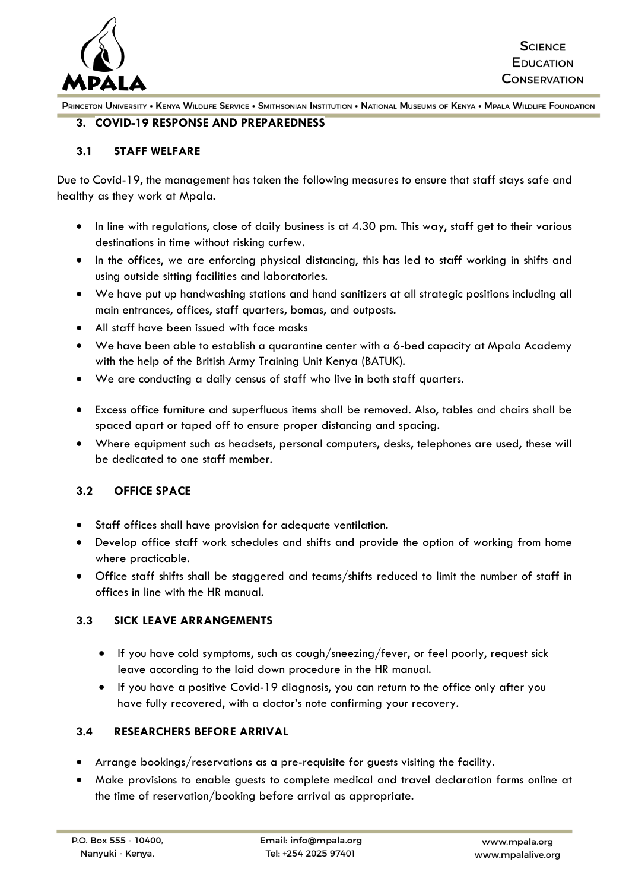

#### **3. COVID-19 RESPONSE AND PREPAREDNESS**

#### **3.1 STAFF WELFARE**

Due to Covid-19, the management has taken the following measures to ensure that staff stays safe and healthy as they work at Mpala.

- In line with regulations, close of daily business is at 4.30 pm. This way, staff get to their various destinations in time without risking curfew.
- In the offices, we are enforcing physical distancing, this has led to staff working in shifts and using outside sitting facilities and laboratories.
- We have put up handwashing stations and hand sanitizers at all strategic positions including all main entrances, offices, staff quarters, bomas, and outposts.
- All staff have been issued with face masks
- We have been able to establish a quarantine center with a 6-bed capacity at Mpala Academy with the help of the British Army Training Unit Kenya (BATUK).
- We are conducting a daily census of staff who live in both staff quarters.
- Excess office furniture and superfluous items shall be removed. Also, tables and chairs shall be spaced apart or taped off to ensure proper distancing and spacing.
- Where equipment such as headsets, personal computers, desks, telephones are used, these will be dedicated to one staff member.

## **3.2 OFFICE SPACE**

- Staff offices shall have provision for adequate ventilation.
- Develop office staff work schedules and shifts and provide the option of working from home where practicable.
- Office staff shifts shall be staggered and teams/shifts reduced to limit the number of staff in offices in line with the HR manual.

# **3.3 SICK LEAVE ARRANGEMENTS**

- If you have cold symptoms, such as cough/sneezing/fever, or feel poorly, request sick leave according to the laid down procedure in the HR manual.
- If you have a positive Covid-19 diagnosis, you can return to the office only after you have fully recovered, with a doctor's note confirming your recovery.

## **3.4 RESEARCHERS BEFORE ARRIVAL**

- Arrange bookings/reservations as a pre-requisite for guests visiting the facility.
- Make provisions to enable guests to complete medical and travel declaration forms online at the time of reservation/booking before arrival as appropriate.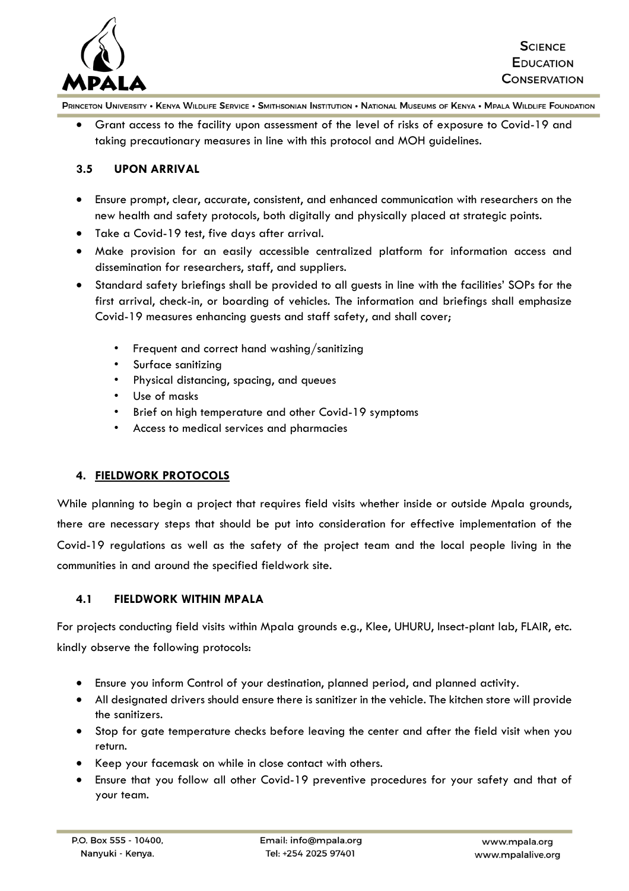

• Grant access to the facility upon assessment of the level of risks of exposure to Covid-19 and taking precautionary measures in line with this protocol and MOH guidelines.

## **3.5 UPON ARRIVAL**

- Ensure prompt, clear, accurate, consistent, and enhanced communication with researchers on the new health and safety protocols, both digitally and physically placed at strategic points.
- Take a Covid-19 test, five days after arrival.
- Make provision for an easily accessible centralized platform for information access and dissemination for researchers, staff, and suppliers.
- Standard safety briefings shall be provided to all guests in line with the facilities' SOPs for the first arrival, check-in, or boarding of vehicles. The information and briefings shall emphasize Covid-19 measures enhancing guests and staff safety, and shall cover;
	- Frequent and correct hand washing/sanitizing
	- Surface sanitizing
	- Physical distancing, spacing, and queues
	- Use of masks
	- Brief on high temperature and other Covid-19 symptoms
	- Access to medical services and pharmacies

## **4. FIELDWORK PROTOCOLS**

While planning to begin a project that requires field visits whether inside or outside Mpala grounds, there are necessary steps that should be put into consideration for effective implementation of the Covid-19 regulations as well as the safety of the project team and the local people living in the communities in and around the specified fieldwork site.

## **4.1 FIELDWORK WITHIN MPALA**

For projects conducting field visits within Mpala grounds e.g., Klee, UHURU, Insect-plant lab, FLAIR, etc. kindly observe the following protocols:

- Ensure you inform Control of your destination, planned period, and planned activity.
- All designated drivers should ensure there is sanitizer in the vehicle. The kitchen store will provide the sanitizers.
- Stop for gate temperature checks before leaving the center and after the field visit when you return.
- Keep your facemask on while in close contact with others.
- Ensure that you follow all other Covid-19 preventive procedures for your safety and that of your team.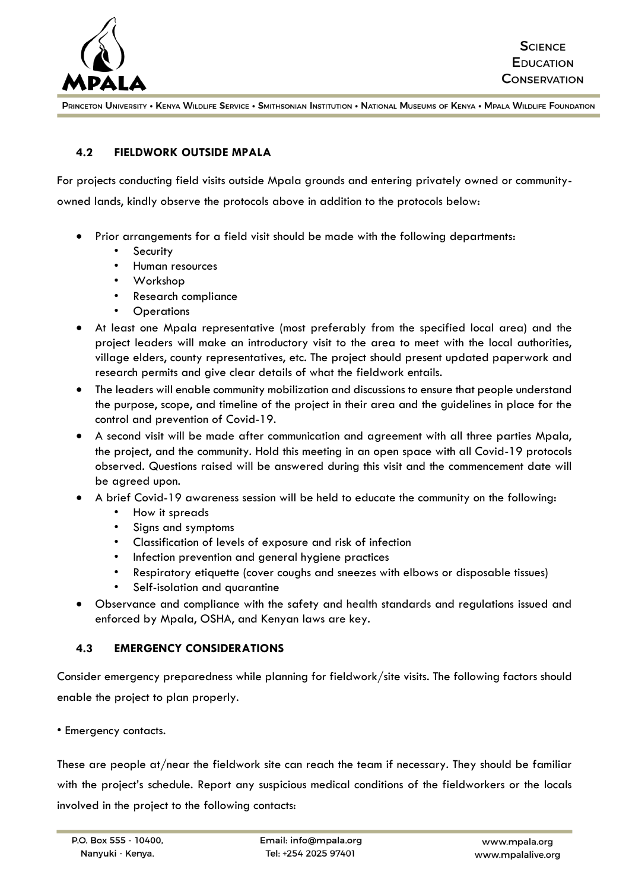

## **4.2 FIELDWORK OUTSIDE MPALA**

For projects conducting field visits outside Mpala grounds and entering privately owned or community-

owned lands, kindly observe the protocols above in addition to the protocols below:

- Prior arrangements for a field visit should be made with the following departments:
	- **Security**
	- Human resources
	- Workshop
	- Research compliance
	- **Operations**
- At least one Mpala representative (most preferably from the specified local area) and the project leaders will make an introductory visit to the area to meet with the local authorities, village elders, county representatives, etc. The project should present updated paperwork and research permits and give clear details of what the fieldwork entails.
- The leaders will enable community mobilization and discussions to ensure that people understand the purpose, scope, and timeline of the project in their area and the guidelines in place for the control and prevention of Covid-19.
- A second visit will be made after communication and agreement with all three parties Mpala, the project, and the community. Hold this meeting in an open space with all Covid-19 protocols observed. Questions raised will be answered during this visit and the commencement date will be agreed upon.
- A brief Covid-19 awareness session will be held to educate the community on the following:
	- How it spreads
	- Signs and symptoms
	- Classification of levels of exposure and risk of infection
	- Infection prevention and general hygiene practices
	- Respiratory etiquette (cover coughs and sneezes with elbows or disposable tissues)
	- Self-isolation and quarantine
- Observance and compliance with the safety and health standards and regulations issued and enforced by Mpala, OSHA, and Kenyan laws are key.

## **4.3 EMERGENCY CONSIDERATIONS**

Consider emergency preparedness while planning for fieldwork/site visits. The following factors should enable the project to plan properly.

• Emergency contacts.

These are people at/near the fieldwork site can reach the team if necessary. They should be familiar with the project's schedule. Report any suspicious medical conditions of the fieldworkers or the locals involved in the project to the following contacts: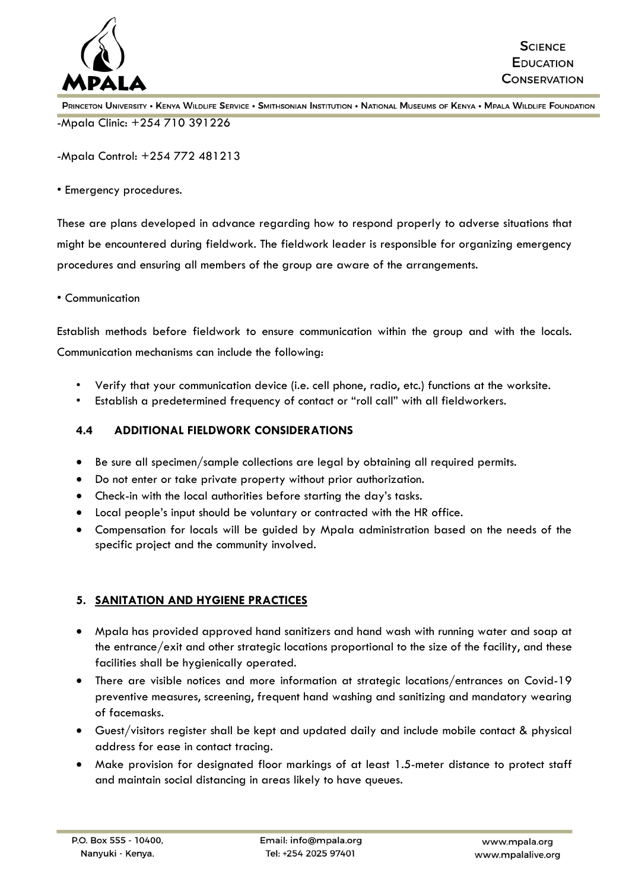

-Mpala Control: +254 772 481213

• Emergency procedures.

These are plans developed in advance regarding how to respond properly to adverse situations that might be encountered during fieldwork. The fieldwork leader is responsible for organizing emergency procedures and ensuring all members of the group are aware of the arrangements.

• Communication

Establish methods before fieldwork to ensure communication within the group and with the locals. Communication mechanisms can include the following:

- Verify that your communication device (i.e. cell phone, radio, etc.) functions at the worksite.
- Establish a predetermined frequency of contact or "roll call" with all fieldworkers.

## **4.4 ADDITIONAL FIELDWORK CONSIDERATIONS**

- Be sure all specimen/sample collections are legal by obtaining all required permits.
- Do not enter or take private property without prior authorization.
- Check-in with the local authorities before starting the day's tasks.
- Local people's input should be voluntary or contracted with the HR office.
- Compensation for locals will be guided by Mpala administration based on the needs of the specific project and the community involved.

# **5. SANITATION AND HYGIENE PRACTICES**

- Mpala has provided approved hand sanitizers and hand wash with running water and soap at the entrance/exit and other strategic locations proportional to the size of the facility, and these facilities shall be hygienically operated.
- There are visible notices and more information at strategic locations/entrances on Covid-19 preventive measures, screening, frequent hand washing and sanitizing and mandatory wearing of facemasks.
- Guest/visitors register shall be kept and updated daily and include mobile contact & physical address for ease in contact tracing.
- Make provision for designated floor markings of at least 1.5-meter distance to protect staff and maintain social distancing in areas likely to have queues.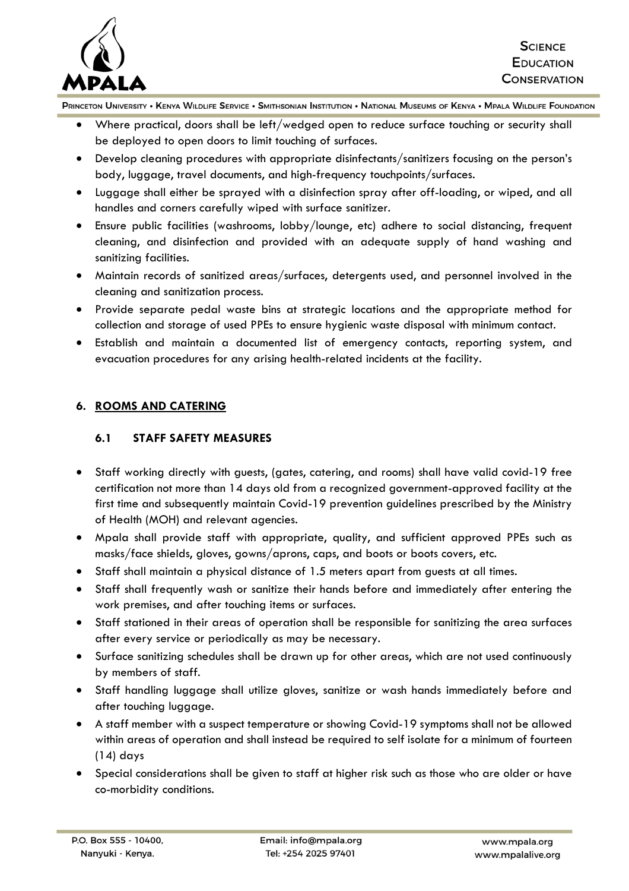

- Where practical, doors shall be left/wedged open to reduce surface touching or security shall be deployed to open doors to limit touching of surfaces.
- Develop cleaning procedures with appropriate disinfectants/sanitizers focusing on the person's body, luggage, travel documents, and high-frequency touchpoints/surfaces.
- Luggage shall either be sprayed with a disinfection spray after off-loading, or wiped, and all handles and corners carefully wiped with surface sanitizer.
- Ensure public facilities (washrooms, lobby/lounge, etc) adhere to social distancing, frequent cleaning, and disinfection and provided with an adequate supply of hand washing and sanitizing facilities.
- Maintain records of sanitized areas/surfaces, detergents used, and personnel involved in the cleaning and sanitization process.
- Provide separate pedal waste bins at strategic locations and the appropriate method for collection and storage of used PPEs to ensure hygienic waste disposal with minimum contact.
- Establish and maintain a documented list of emergency contacts, reporting system, and evacuation procedures for any arising health-related incidents at the facility.

# **6. ROOMS AND CATERING**

## **6.1 STAFF SAFETY MEASURES**

- Staff working directly with guests, (gates, catering, and rooms) shall have valid covid-19 free certification not more than 14 days old from a recognized government-approved facility at the first time and subsequently maintain Covid-19 prevention guidelines prescribed by the Ministry of Health (MOH) and relevant agencies.
- Mpala shall provide staff with appropriate, quality, and sufficient approved PPEs such as masks/face shields, gloves, gowns/aprons, caps, and boots or boots covers, etc.
- Staff shall maintain a physical distance of 1.5 meters apart from guests at all times.
- Staff shall frequently wash or sanitize their hands before and immediately after entering the work premises, and after touching items or surfaces.
- Staff stationed in their areas of operation shall be responsible for sanitizing the area surfaces after every service or periodically as may be necessary.
- Surface sanitizing schedules shall be drawn up for other areas, which are not used continuously by members of staff.
- Staff handling luggage shall utilize gloves, sanitize or wash hands immediately before and after touching luggage.
- A staff member with a suspect temperature or showing Covid-19 symptoms shall not be allowed within areas of operation and shall instead be required to self isolate for a minimum of fourteen (14) days
- Special considerations shall be given to staff at higher risk such as those who are older or have co-morbidity conditions.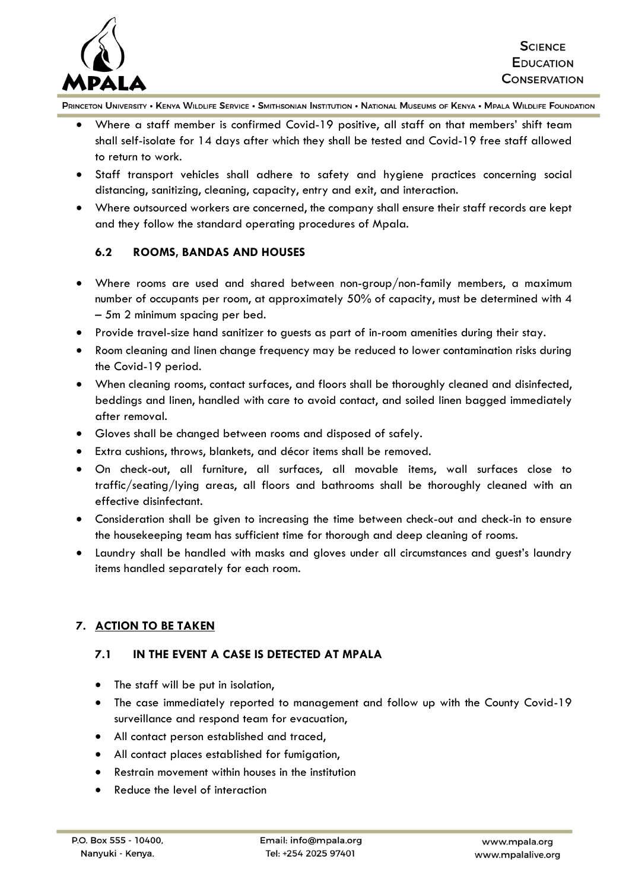

- Where a staff member is confirmed Covid-19 positive, all staff on that members' shift team shall self-isolate for 14 days after which they shall be tested and Covid-19 free staff allowed to return to work.
- Staff transport vehicles shall adhere to safety and hygiene practices concerning social distancing, sanitizing, cleaning, capacity, entry and exit, and interaction.
- Where outsourced workers are concerned, the company shall ensure their staff records are kept and they follow the standard operating procedures of Mpala.

## **6.2 ROOMS, BANDAS AND HOUSES**

- Where rooms are used and shared between non-group/non-family members, a maximum number of occupants per room, at approximately 50% of capacity, must be determined with 4 – 5m 2 minimum spacing per bed.
- Provide travel-size hand sanitizer to guests as part of in-room amenities during their stay.
- Room cleaning and linen change frequency may be reduced to lower contamination risks during the Covid-19 period.
- When cleaning rooms, contact surfaces, and floors shall be thoroughly cleaned and disinfected, beddings and linen, handled with care to avoid contact, and soiled linen bagged immediately after removal.
- Gloves shall be changed between rooms and disposed of safely.
- Extra cushions, throws, blankets, and décor items shall be removed.
- On check-out, all furniture, all surfaces, all movable items, wall surfaces close to traffic/seating/lying areas, all floors and bathrooms shall be thoroughly cleaned with an effective disinfectant.
- Consideration shall be given to increasing the time between check-out and check-in to ensure the housekeeping team has sufficient time for thorough and deep cleaning of rooms.
- Laundry shall be handled with masks and gloves under all circumstances and guest's laundry items handled separately for each room.

## **7. ACTION TO BE TAKEN**

## **7.1 IN THE EVENT A CASE IS DETECTED AT MPALA**

- The staff will be put in isolation,
- The case immediately reported to management and follow up with the County Covid-19 surveillance and respond team for evacuation,
- All contact person established and traced,
- All contact places established for fumigation,
- Restrain movement within houses in the institution
- Reduce the level of interaction